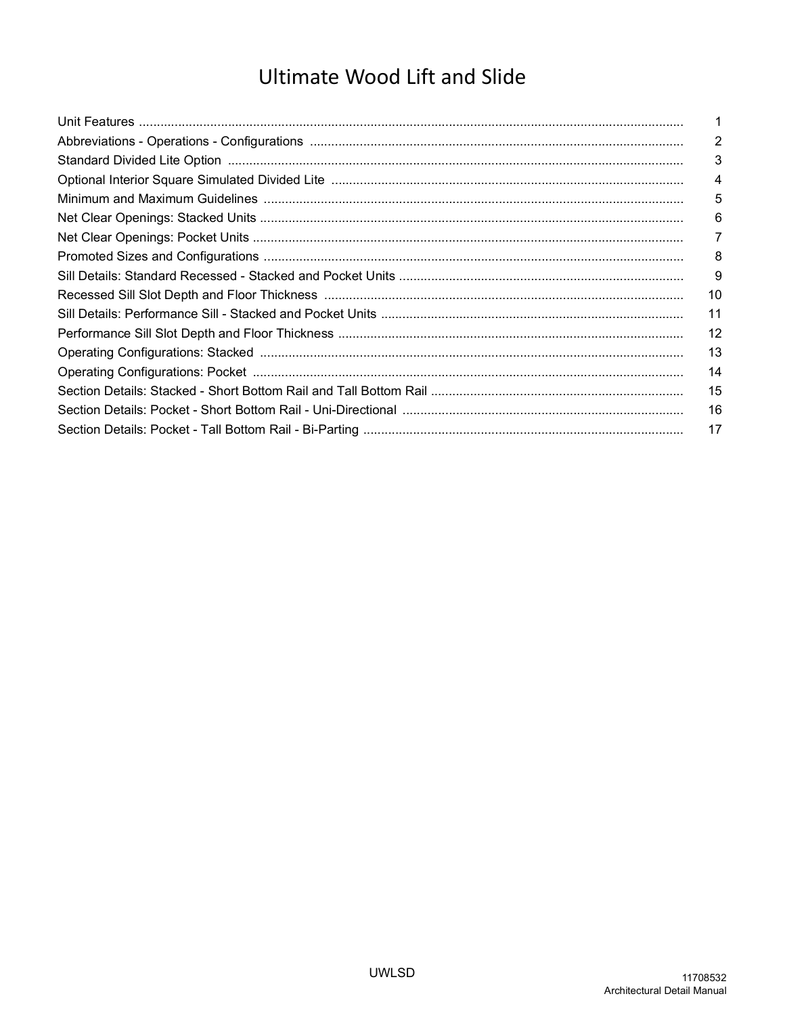# **Ultimate Wood Lift and Slide**

| $\overline{2}$ |
|----------------|
| 3              |
| 4              |
| 5              |
| 6              |
| 7              |
| 8              |
| 9              |
| 10             |
| 11             |
| 12             |
| 13             |
| 14             |
| 15             |
| 16             |
| 17             |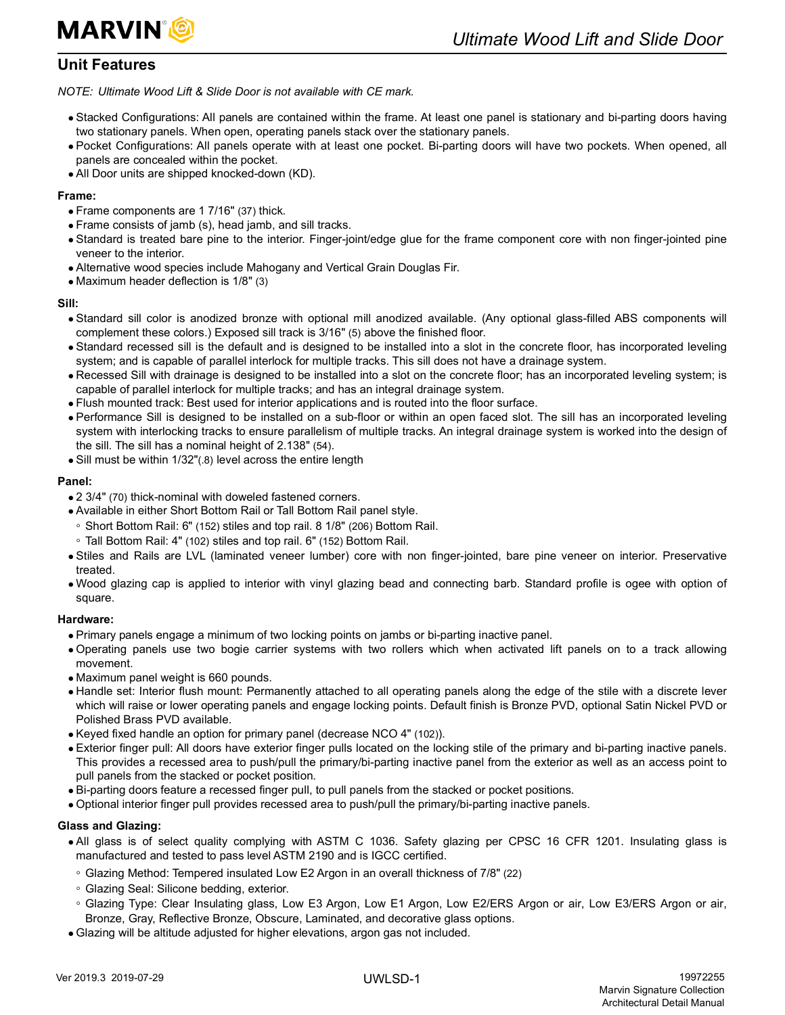

### <span id="page-2-0"></span>**Unit Features**

*NOTE: Ultimate Wood Lift & Slide Door is not available with CE mark.*

- Stacked Configurations: All panels are contained within the frame. At least one panel is stationary and bi-parting doors having two stationary panels. When open, operating panels stack over the stationary panels.
- Pocket Configurations: All panels operate with at least one pocket. Bi-parting doors will have two pockets. When opened, all panels are concealed within the pocket.
- All Door units are shipped knocked-down (KD).

### **Frame:**

- Frame components are 1 7/16" (37) thick.
- Frame consists of jamb (s), head jamb, and sill tracks.
- Standard is treated bare pine to the interior. Finger-joint/edge glue for the frame component core with non finger-jointed pine veneer to the interior.
- Alternative wood species include Mahogany and Vertical Grain Douglas Fir.
- Maximum header deflection is 1/8" (3)

### **Sill:**

- Standard sill color is anodized bronze with optional mill anodized available. (Any optional glass-filled ABS components will complement these colors.) Exposed sill track is 3/16" (5) above the finished floor.
- Standard recessed sill is the default and is designed to be installed into a slot in the concrete floor, has incorporated leveling system; and is capable of parallel interlock for multiple tracks. This sill does not have a drainage system.
- Recessed Sill with drainage is designed to be installed into a slot on the concrete floor; has an incorporated leveling system; is capable of parallel interlock for multiple tracks; and has an integral drainage system.
- Flush mounted track: Best used for interior applications and is routed into the floor surface.
- Performance Sill is designed to be installed on a sub-floor or within an open faced slot. The sill has an incorporated leveling system with interlocking tracks to ensure parallelism of multiple tracks. An integral drainage system is worked into the design of the sill. The sill has a nominal height of 2.138" (54).
- Sill must be within 1/32"(.8) level across the entire length

### **Panel:**

- 2 3/4" (70) thick-nominal with doweled fastened corners.
- Available in either Short Bottom Rail or Tall Bottom Rail panel style.
- Short Bottom Rail: 6" (152) stiles and top rail. 8 1/8" (206) Bottom Rail.
- Tall Bottom Rail: 4" (102) stiles and top rail. 6" (152) Bottom Rail.
- Stiles and Rails are LVL (laminated veneer lumber) core with non finger-jointed, bare pine veneer on interior. Preservative treated.
- Wood glazing cap is applied to interior with vinyl glazing bead and connecting barb. Standard profile is ogee with option of square.

### **Hardware:**

- Primary panels engage a minimum of two locking points on jambs or bi-parting inactive panel.
- Operating panels use two bogie carrier systems with two rollers which when activated lift panels on to a track allowing movement.
- Maximum panel weight is 660 pounds.
- Handle set: Interior flush mount: Permanently attached to all operating panels along the edge of the stile with a discrete lever which will raise or lower operating panels and engage locking points. Default finish is Bronze PVD, optional Satin Nickel PVD or Polished Brass PVD available.
- Keyed fixed handle an option for primary panel (decrease NCO 4" (102)).
- Exterior finger pull: All doors have exterior finger pulls located on the locking stile of the primary and bi-parting inactive panels. This provides a recessed area to push/pull the primary/bi-parting inactive panel from the exterior as well as an access point to pull panels from the stacked or pocket position.
- Bi-parting doors feature a recessed finger pull, to pull panels from the stacked or pocket positions.
- Optional interior finger pull provides recessed area to push/pull the primary/bi-parting inactive panels.

#### **Glass and Glazing:**

- All glass is of select quality complying with ASTM C 1036. Safety glazing per CPSC 16 CFR 1201. Insulating glass is manufactured and tested to pass level ASTM 2190 and is IGCC certified.
- Glazing Method: Tempered insulated Low E2 Argon in an overall thickness of 7/8" (22)
- Glazing Seal: Silicone bedding, exterior.
- Glazing Type: Clear Insulating glass, Low E3 Argon, Low E1 Argon, Low E2/ERS Argon or air, Low E3/ERS Argon or air, Bronze, Gray, Reflective Bronze, Obscure, Laminated, and decorative glass options.
- Glazing will be altitude adjusted for higher elevations, argon gas not included.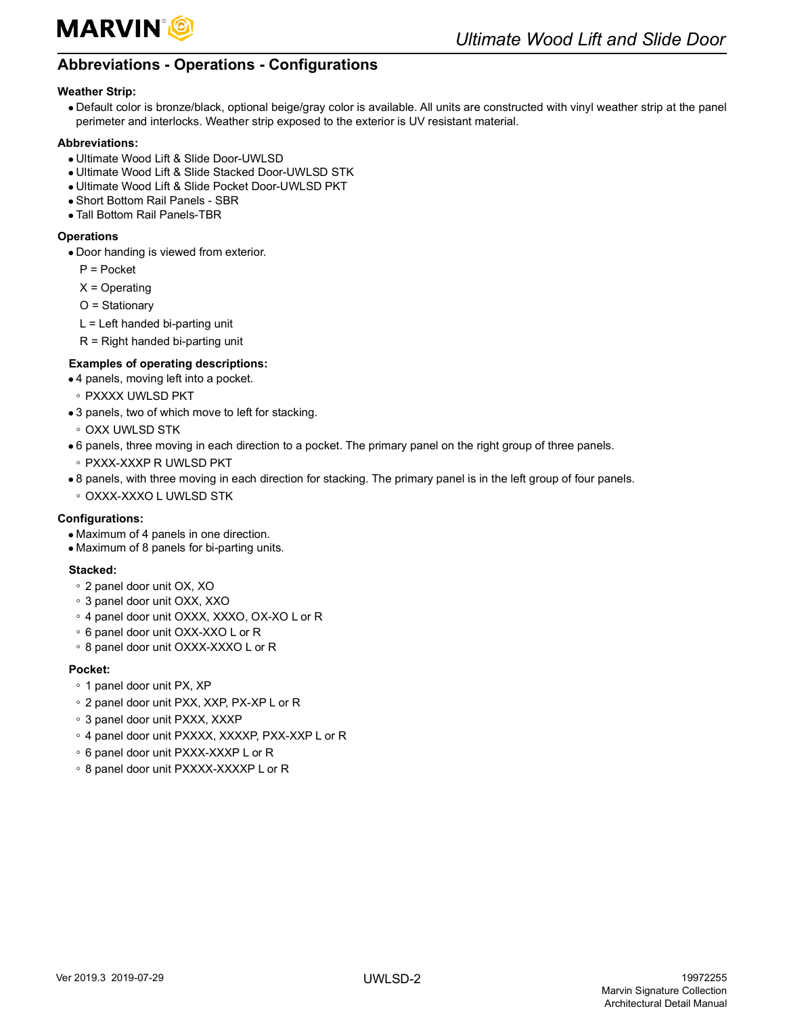

## <span id="page-3-0"></span>**Abbreviations - Operations - Configurations**

### **Weather Strip:**

 Default color is bronze/black, optional beige/gray color is available. All units are constructed with vinyl weather strip at the panel perimeter and interlocks. Weather strip exposed to the exterior is UV resistant material.

#### **Abbreviations:**

- Ultimate Wood Lift & Slide Door-UWLSD
- Ultimate Wood Lift & Slide Stacked Door-UWLSD STK
- Ultimate Wood Lift & Slide Pocket Door-UWLSD PKT
- Short Bottom Rail Panels SBR
- Tall Bottom Rail Panels-TBR

### **Operations**

- Door handing is viewed from exterior.
	- P = Pocket
	- $X =$ Operating
	- O = Stationary
	- L = Left handed bi-parting unit
	- $R =$  Right handed bi-parting unit

### **Examples of operating descriptions:**

- 4 panels, moving left into a pocket.
- PXXXX UWLSD PKT
- 3 panels, two of which move to left for stacking.
- OXX UWLSD STK
- 6 panels, three moving in each direction to a pocket. The primary panel on the right group of three panels.
- PXXX-XXXP R UWLSD PKT
- 8 panels, with three moving in each direction for stacking. The primary panel is in the left group of four panels.
- OXXX-XXXO L UWLSD STK

### **Configurations:**

- Maximum of 4 panels in one direction.
- Maximum of 8 panels for bi-parting units.

### **Stacked:**

- 2 panel door unit OX, XO
- 3 panel door unit OXX, XXO
- 4 panel door unit OXXX, XXXO, OX-XO L or R
- 6 panel door unit OXX-XXO L or R
- 8 panel door unit OXXX-XXXO L or R

### **Pocket:**

- 1 panel door unit PX, XP
- 2 panel door unit PXX, XXP, PX-XP L or R
- 3 panel door unit PXXX, XXXP
- 4 panel door unit PXXXX, XXXXP, PXX-XXP L or R
- 6 panel door unit PXXX-XXXP L or R
- 8 panel door unit PXXXX-XXXXP L or R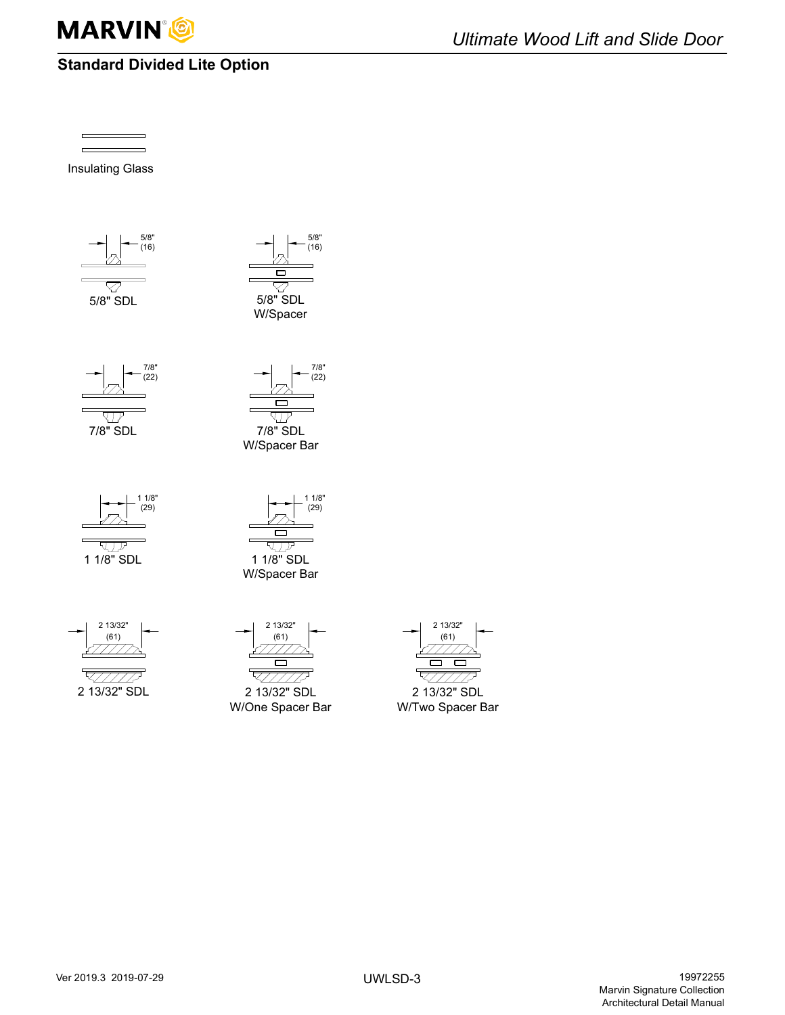

## <span id="page-4-0"></span>**Standard Divided Lite Option**

Insulating Glass





 $7/8"$  $(22)$ 







पार



$$
\begin{array}{c|c}\n & 213/32^{\circ} \\
& (61) \\
& \overline{\end{array}
$$

$$
\frac{\sqrt{11/10}}{2.13/32} \text{ SDL}
$$

$$
\begin{array}{c|c}\n & 21332 \\
& (61) \\
& \overline{27777723} \\
& \overline{27777723} \\
& \overline{2777772} \\
& 2137329° & \text{SDI}\n\end{array}
$$

2 13/32" SDL W/One Spacer Bar



W/Two Spacer Bar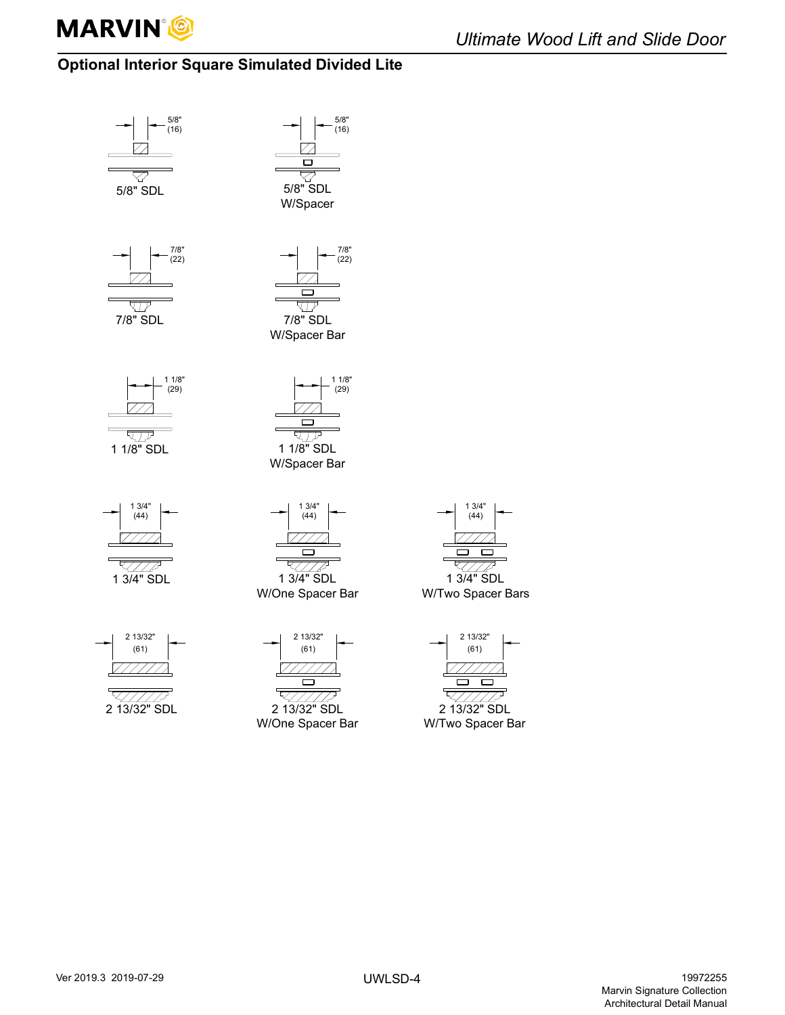

## <span id="page-5-0"></span>**Optional Interior Square Simulated Divided Lite**





 $(44)$ 1 3/4" SDL

 $13/4"$ 

W/Two Spacer Bars

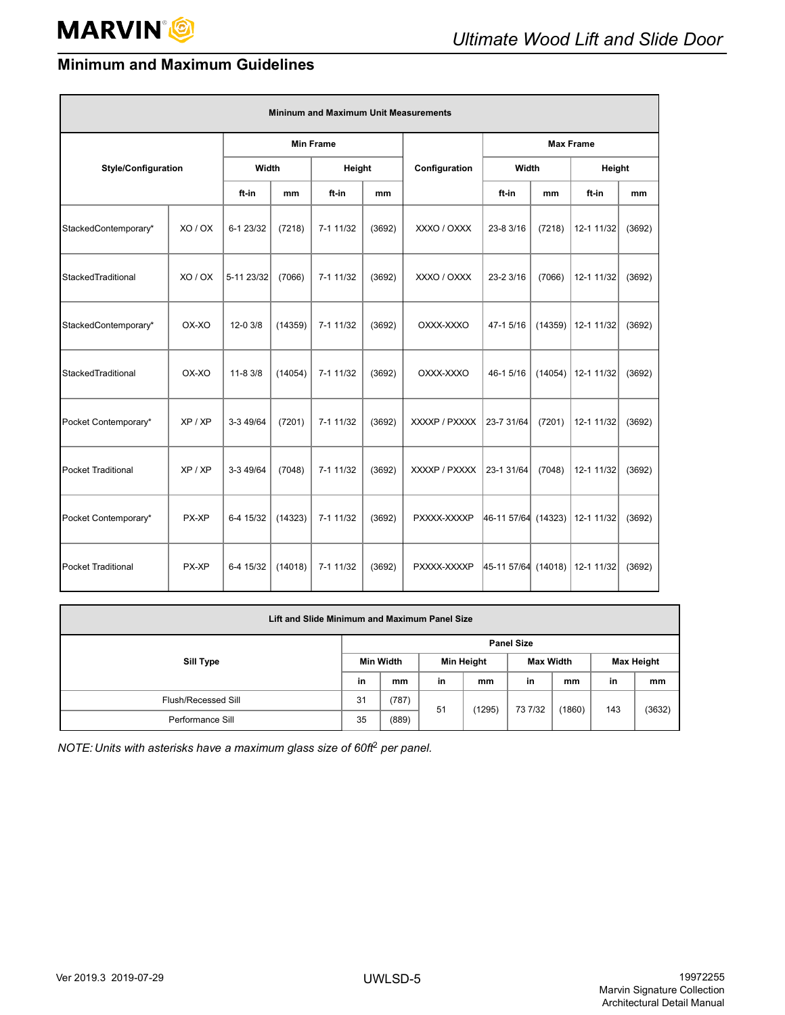## <span id="page-6-0"></span>**Minimum and Maximum Guidelines**

| <b>Mininum and Maximum Unit Measurements</b> |         |                  |         |           |        |               |                     |         |            |        |
|----------------------------------------------|---------|------------------|---------|-----------|--------|---------------|---------------------|---------|------------|--------|
|                                              |         | <b>Min Frame</b> |         |           |        |               | <b>Max Frame</b>    |         |            |        |
| <b>Style/Configuration</b>                   |         | Width            |         | Height    |        | Configuration | Width               |         | Height     |        |
|                                              |         | ft-in            | mm      | ft-in     | mm     |               | ft-in               | mm      | ft-in      | mm     |
| StackedContemporary*                         | XO/OX   | 6-1 23/32        | (7218)  | 7-1 11/32 | (3692) | XXXO / OXXX   | 23-8 3/16           | (7218)  | 12-1 11/32 | (3692) |
| StackedTraditional                           | XO / OX | 5-11 23/32       | (7066)  | 7-1 11/32 | (3692) | XXXO / OXXX   | 23-2 3/16           | (7066)  | 12-1 11/32 | (3692) |
| StackedContemporary*                         | OX-XO   | 12-0 3/8         | (14359) | 7-1 11/32 | (3692) | OXXX-XXXO     | 47-1 5/16           | (14359) | 12-1 11/32 | (3692) |
| StackedTraditional                           | OX-XO   | $11 - 83/8$      | (14054) | 7-1 11/32 | (3692) | OXXX-XXXO     | 46-1 5/16           | (14054) | 12-1 11/32 | (3692) |
| Pocket Contemporary*                         | XP / XP | 3-3 49/64        | (7201)  | 7-1 11/32 | (3692) | XXXXP / PXXXX | 23-7 31/64          | (7201)  | 12-1 11/32 | (3692) |
| <b>Pocket Traditional</b>                    | XP / XP | 3-3 49/64        | (7048)  | 7-1 11/32 | (3692) | XXXXP / PXXXX | 23-1 31/64          | (7048)  | 12-1 11/32 | (3692) |
| Pocket Contemporary*                         | PX-XP   | 6-4 15/32        | (14323) | 7-1 11/32 | (3692) | PXXXX-XXXXP   | 46-11 57/64 (14323) |         | 12-1 11/32 | (3692) |
| <b>Pocket Traditional</b>                    | PX-XP   | 6-4 15/32        | (14018) | 7-1 11/32 | (3692) | PXXXX-XXXXP   | 45-11 57/64 (14018) |         | 12-1 11/32 | (3692) |

| Lift and Slide Minimum and Maximum Panel Size |    |                   |            |        |           |        |                   |        |  |  |  |
|-----------------------------------------------|----|-------------------|------------|--------|-----------|--------|-------------------|--------|--|--|--|
| Sill Type                                     |    | <b>Panel Size</b> |            |        |           |        |                   |        |  |  |  |
|                                               |    | Min Width         | Min Height |        | Max Width |        | <b>Max Height</b> |        |  |  |  |
|                                               |    | mm                | in         | mm     | in        | mm     | in                | mm     |  |  |  |
| Flush/Recessed Sill                           | 31 | (787)             | 51         | (1295) | 73 7/32   | (1860) | 143               | (3632) |  |  |  |
| Performance Sill                              | 35 | (889)             |            |        |           |        |                   |        |  |  |  |

*NOTE: Units with asterisks have a maximum glass size of 60ft*2 *per panel.*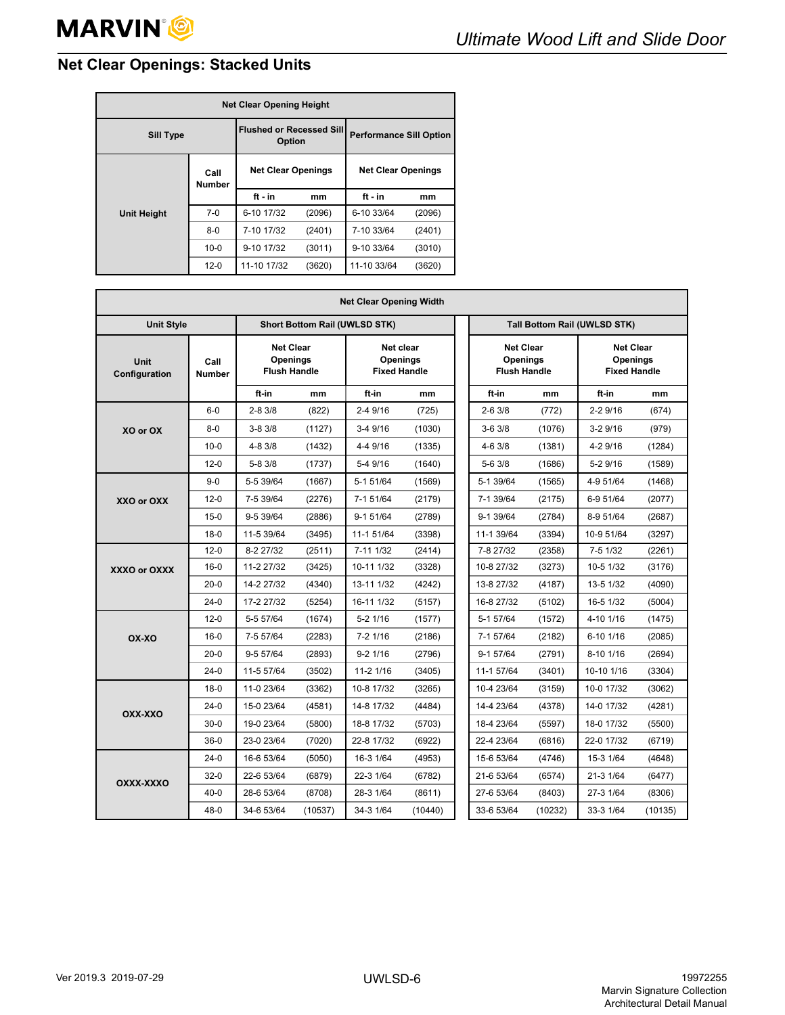## <span id="page-7-0"></span>**Net Clear Openings: Stacked Units**

| <b>Net Clear Opening Height</b> |                                           |                           |                                |                           |        |  |  |
|---------------------------------|-------------------------------------------|---------------------------|--------------------------------|---------------------------|--------|--|--|
| <b>Sill Type</b>                | <b>Flushed or Recessed Sill</b><br>Option |                           | <b>Performance Sill Option</b> |                           |        |  |  |
|                                 | Call<br><b>Number</b>                     | <b>Net Clear Openings</b> |                                | <b>Net Clear Openings</b> |        |  |  |
|                                 |                                           | $ft - in$                 | mm                             | $ft - in$                 | mm     |  |  |
| <b>Unit Height</b>              | $7-0$                                     | 6-10 17/32                | (2096)                         | 6-10 33/64                | (2096) |  |  |
|                                 | $8-0$                                     | 7-10 17/32                | (2401)                         | 7-10 33/64                | (2401) |  |  |
|                                 | $10 - 0$                                  | 9-10 17/32                | (3011)                         | 9-10 33/64                | (3010) |  |  |
|                                 | $12 - 0$                                  | 11-10 17/32               | (3620)                         | 11-10 33/64               | (3620) |  |  |

| <b>Net Clear Opening Width</b> |                       |            |                                                                                                                   |                                      |         |  |                                                            |         |                                                     |         |
|--------------------------------|-----------------------|------------|-------------------------------------------------------------------------------------------------------------------|--------------------------------------|---------|--|------------------------------------------------------------|---------|-----------------------------------------------------|---------|
| <b>Unit Style</b>              |                       |            |                                                                                                                   | <b>Short Bottom Rail (UWLSD STK)</b> |         |  | Tall Bottom Rail (UWLSD STK)                               |         |                                                     |         |
| Unit<br>Configuration          | Call<br><b>Number</b> |            | <b>Net Clear</b><br>Net clear<br><b>Openings</b><br><b>Openings</b><br><b>Flush Handle</b><br><b>Fixed Handle</b> |                                      |         |  | <b>Net Clear</b><br><b>Openings</b><br><b>Flush Handle</b> |         | <b>Net Clear</b><br>Openings<br><b>Fixed Handle</b> |         |
|                                |                       | ft-in      | mm                                                                                                                | ft-in                                | mm      |  | ft-in                                                      | mm      | ft-in                                               | mm      |
|                                | $6-0$                 | $2 - 83/8$ | (822)                                                                                                             | 2-4 9/16                             | (725)   |  | $2 - 63/8$                                                 | (772)   | $2 - 29/16$                                         | (674)   |
| XO or OX                       | $8 - 0$               | $3 - 83/8$ | (1127)                                                                                                            | 3-4 9/16                             | (1030)  |  | $3-63/8$                                                   | (1076)  | $3-29/16$                                           | (979)   |
|                                | $10 - 0$              | $4 - 83/8$ | (1432)                                                                                                            | 4-4 9/16                             | (1335)  |  | $4 - 63/8$                                                 | (1381)  | 4-2 9/16                                            | (1284)  |
|                                | $12 - 0$              | $5 - 83/8$ | (1737)                                                                                                            | 5-4 9/16                             | (1640)  |  | 5-6 3/8                                                    | (1686)  | 5-2 9/16                                            | (1589)  |
|                                | $9-0$                 | 5-5 39/64  | (1667)                                                                                                            | 5-1 51/64                            | (1569)  |  | 5-1 39/64                                                  | (1565)  | 4-9 51/64                                           | (1468)  |
| XXO or OXX                     | $12 - 0$              | 7-5 39/64  | (2276)                                                                                                            | 7-1 51/64                            | (2179)  |  | 7-1 39/64                                                  | (2175)  | 6-9 51/64                                           | (2077)  |
|                                | $15 - 0$              | 9-5 39/64  | (2886)                                                                                                            | $9 - 1$ 51/64                        | (2789)  |  | 9-1 39/64                                                  | (2784)  | 8-9 51/64                                           | (2687)  |
|                                | $18-0$                | 11-5 39/64 | (3495)                                                                                                            | 11-1 51/64                           | (3398)  |  | 11-1 39/64                                                 | (3394)  | 10-9 51/64                                          | (3297)  |
|                                | $12 - 0$              | 8-2 27/32  | (2511)                                                                                                            | 7-11 1/32                            | (2414)  |  | 7-8 27/32                                                  | (2358)  | 7-5 1/32                                            | (2261)  |
| XXXO or OXXX                   | $16 - 0$              | 11-2 27/32 | (3425)                                                                                                            | 10-11 1/32                           | (3328)  |  | 10-8 27/32                                                 | (3273)  | 10-5 1/32                                           | (3176)  |
|                                | $20-0$                | 14-2 27/32 | (4340)                                                                                                            | 13-11 1/32                           | (4242)  |  | 13-8 27/32                                                 | (4187)  | 13-5 1/32                                           | (4090)  |
|                                | $24-0$                | 17-2 27/32 | (5254)                                                                                                            | 16-11 1/32                           | (5157)  |  | 16-8 27/32                                                 | (5102)  | 16-5 1/32                                           | (5004)  |
|                                | $12 - 0$              | 5-5 57/64  | (1674)                                                                                                            | $5-2$ $1/16$                         | (1577)  |  | 5-1 57/64                                                  | (1572)  | 4-10 1/16                                           | (1475)  |
| OX-XO                          | $16 - 0$              | 7-5 57/64  | (2283)                                                                                                            | $7 - 21/16$                          | (2186)  |  | 7-1 57/64                                                  | (2182)  | 6-10 1/16                                           | (2085)  |
|                                | $20 - 0$              | 9-5 57/64  | (2893)                                                                                                            | $9-2$ 1/16                           | (2796)  |  | 9-1 57/64                                                  | (2791)  | 8-10 1/16                                           | (2694)  |
|                                | $24-0$                | 11-5 57/64 | (3502)                                                                                                            | 11-2 1/16                            | (3405)  |  | 11-1 57/64                                                 | (3401)  | 10-10 1/16                                          | (3304)  |
|                                | $18-0$                | 11-0 23/64 | (3362)                                                                                                            | 10-8 17/32                           | (3265)  |  | 10-4 23/64                                                 | (3159)  | 10-0 17/32                                          | (3062)  |
| OXX-XXO                        | $24-0$                | 15-0 23/64 | (4581)                                                                                                            | 14-8 17/32                           | (4484)  |  | 14-4 23/64                                                 | (4378)  | 14-0 17/32                                          | (4281)  |
|                                | $30-0$                | 19-0 23/64 | (5800)                                                                                                            | 18-8 17/32                           | (5703)  |  | 18-4 23/64                                                 | (5597)  | 18-0 17/32                                          | (5500)  |
|                                | $36-0$                | 23-0 23/64 | (7020)                                                                                                            | 22-8 17/32                           | (6922)  |  | 22-4 23/64                                                 | (6816)  | 22-0 17/32                                          | (6719)  |
|                                | $24-0$                | 16-6 53/64 | (5050)                                                                                                            | 16-3 1/64                            | (4953)  |  | 15-6 53/64                                                 | (4746)  | 15-3 1/64                                           | (4648)  |
| OXXX-XXXO                      | $32-0$                | 22-6 53/64 | (6879)                                                                                                            | 22-3 1/64                            | (6782)  |  | 21-6 53/64                                                 | (6574)  | 21-3 1/64                                           | (6477)  |
|                                | $40 - 0$              | 28-6 53/64 | (8708)                                                                                                            | 28-3 1/64                            | (8611)  |  | 27-6 53/64                                                 | (8403)  | 27-3 1/64                                           | (8306)  |
|                                | $48 - 0$              | 34-6 53/64 | (10537)                                                                                                           | 34-3 1/64                            | (10440) |  | 33-6 53/64                                                 | (10232) | 33-3 1/64                                           | (10135) |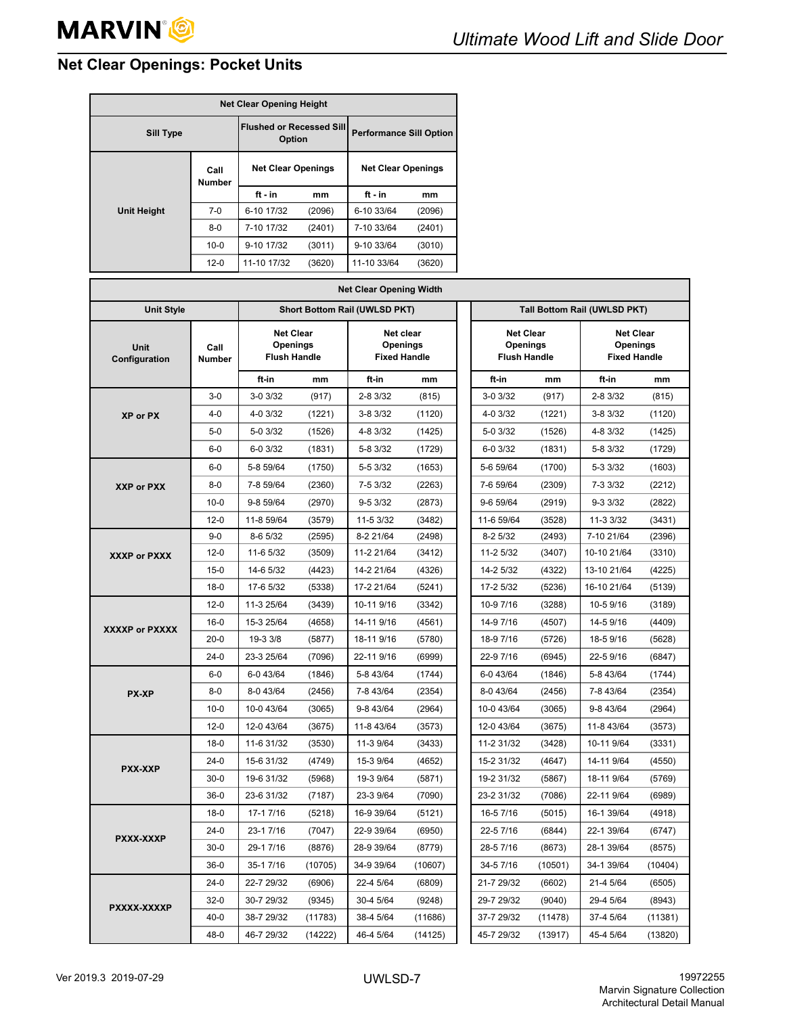## <span id="page-8-0"></span>**Net Clear Openings: Pocket Units**

| <b>Net Clear Opening Height</b> |                                           |                           |                                |                           |        |  |  |
|---------------------------------|-------------------------------------------|---------------------------|--------------------------------|---------------------------|--------|--|--|
| <b>Sill Type</b>                | <b>Flushed or Recessed Sill</b><br>Option |                           | <b>Performance Sill Option</b> |                           |        |  |  |
|                                 | Call<br>Number                            | <b>Net Clear Openings</b> |                                | <b>Net Clear Openings</b> |        |  |  |
|                                 |                                           | ft - in                   | mm                             | $ft - in$                 | mm     |  |  |
| <b>Unit Height</b>              | $7-0$                                     | 6-10 17/32                | (2096)                         | 6-10 33/64                | (2096) |  |  |
|                                 | $8 - 0$                                   | 7-10 17/32                | (2401)                         | 7-10 33/64                | (2401) |  |  |
|                                 | $10 - 0$                                  | 9-10 17/32                | (3011)                         | 9-10 33/64                | (3010) |  |  |
|                                 | $12 - 0$                                  | 11-10 17/32               | (3620)                         | 11-10 33/64               | (3620) |  |  |

| <b>Net Clear Opening Width</b> |                       |            |                                                                                                                                                                          |                               |         |  |            |         |                                                            |         |
|--------------------------------|-----------------------|------------|--------------------------------------------------------------------------------------------------------------------------------------------------------------------------|-------------------------------|---------|--|------------|---------|------------------------------------------------------------|---------|
| <b>Unit Style</b>              |                       |            |                                                                                                                                                                          | Short Bottom Rail (UWLSD PKT) |         |  |            |         | Tall Bottom Rail (UWLSD PKT)                               |         |
| Unit<br>Configuration          | Call<br><b>Number</b> |            | <b>Net Clear</b><br><b>Net Clear</b><br>Net clear<br><b>Openings</b><br><b>Openings</b><br>Openings<br><b>Flush Handle</b><br><b>Fixed Handle</b><br><b>Flush Handle</b> |                               |         |  |            |         | <b>Net Clear</b><br><b>Openings</b><br><b>Fixed Handle</b> |         |
|                                |                       | ft-in      | mm                                                                                                                                                                       | ft-in                         | mm      |  | ft-in      | mm      | ft-in                                                      | mm      |
|                                | $3-0$                 | 3-0 3/32   | (917)                                                                                                                                                                    | 2-8 3/32                      | (815)   |  | 3-0 3/32   | (917)   | 2-8 3/32                                                   | (815)   |
| XP or PX                       | $4 - 0$               | 4-0 3/32   | (1221)                                                                                                                                                                   | 3-8 3/32                      | (1120)  |  | 4-0 3/32   | (1221)  | 3-8 3/32                                                   | (1120)  |
|                                | $5-0$                 | 5-0 3/32   | (1526)                                                                                                                                                                   | 4-8 3/32                      | (1425)  |  | 5-0 3/32   | (1526)  | 4-8 3/32                                                   | (1425)  |
|                                | $6-0$                 | 6-0 3/32   | (1831)                                                                                                                                                                   | 5-8 3/32                      | (1729)  |  | 6-0 3/32   | (1831)  | 5-8 3/32                                                   | (1729)  |
|                                | $6-0$                 | 5-8 59/64  | (1750)                                                                                                                                                                   | 5-5 3/32                      | (1653)  |  | 5-6 59/64  | (1700)  | 5-3 3/32                                                   | (1603)  |
| XXP or PXX                     | $8 - 0$               | 7-8 59/64  | (2360)                                                                                                                                                                   | 7-5 3/32                      | (2263)  |  | 7-6 59/64  | (2309)  | 7-3 3/32                                                   | (2212)  |
|                                | $10 - 0$              | 9-8 59/64  | (2970)                                                                                                                                                                   | $9 - 53/32$                   | (2873)  |  | 9-6 59/64  | (2919)  | $9 - 33/32$                                                | (2822)  |
|                                | $12 - 0$              | 11-8 59/64 | (3579)                                                                                                                                                                   | 11-5 3/32                     | (3482)  |  | 11-6 59/64 | (3528)  | 11-3 3/32                                                  | (3431)  |
|                                | $9 - 0$               | 8-6 5/32   | (2595)                                                                                                                                                                   | 8-2 21/64                     | (2498)  |  | $8-25/32$  | (2493)  | 7-10 21/64                                                 | (2396)  |
| <b>XXXP or PXXX</b>            | $12 - 0$              | 11-6 5/32  | (3509)                                                                                                                                                                   | 11-2 21/64                    | (3412)  |  | 11-2 5/32  | (3407)  | 10-10 21/64                                                | (3310)  |
|                                | $15-0$                | 14-6 5/32  | (4423)                                                                                                                                                                   | 14-2 21/64                    | (4326)  |  | 14-2 5/32  | (4322)  | 13-10 21/64                                                | (4225)  |
|                                | $18-0$                | 17-6 5/32  | (5338)                                                                                                                                                                   | 17-2 21/64                    | (5241)  |  | 17-2 5/32  | (5236)  | 16-10 21/64                                                | (5139)  |
|                                | $12 - 0$              | 11-3 25/64 | (3439)                                                                                                                                                                   | 10-11 9/16                    | (3342)  |  | 10-9 7/16  | (3288)  | 10-5 9/16                                                  | (3189)  |
| XXXXP or PXXXX                 | $16 - 0$              | 15-3 25/64 | (4658)                                                                                                                                                                   | 14-11 9/16                    | (4561)  |  | 14-9 7/16  | (4507)  | 14-5 9/16                                                  | (4409)  |
|                                | $20 - 0$              | 19-3 3/8   | (5877)                                                                                                                                                                   | 18-11 9/16                    | (5780)  |  | 18-9 7/16  | (5726)  | 18-5 9/16                                                  | (5628)  |
|                                | $24-0$                | 23-3 25/64 | (7096)                                                                                                                                                                   | 22-11 9/16                    | (6999)  |  | 22-9 7/16  | (6945)  | 22-5 9/16                                                  | (6847)  |
|                                | $6-0$                 | 6-0 43/64  | (1846)                                                                                                                                                                   | 5-8 43/64                     | (1744)  |  | 6-0 43/64  | (1846)  | 5-8 43/64                                                  | (1744)  |
| <b>PX-XP</b>                   | $8 - 0$               | 8-0 43/64  | (2456)                                                                                                                                                                   | 7-8 43/64                     | (2354)  |  | 8-0 43/64  | (2456)  | 7-8 43/64                                                  | (2354)  |
|                                | $10 - 0$              | 10-0 43/64 | (3065)                                                                                                                                                                   | 9-8 43/64                     | (2964)  |  | 10-0 43/64 | (3065)  | 9-8 43/64                                                  | (2964)  |
|                                | $12 - 0$              | 12-0 43/64 | (3675)                                                                                                                                                                   | 11-8 43/64                    | (3573)  |  | 12-0 43/64 | (3675)  | 11-8 43/64                                                 | (3573)  |
|                                | $18 - 0$              | 11-6 31/32 | (3530)                                                                                                                                                                   | 11-3 9/64                     | (3433)  |  | 11-2 31/32 | (3428)  | 10-11 9/64                                                 | (3331)  |
| <b>PXX-XXP</b>                 | $24-0$                | 15-6 31/32 | (4749)                                                                                                                                                                   | 15-3 9/64                     | (4652)  |  | 15-2 31/32 | (4647)  | 14-11 9/64                                                 | (4550)  |
|                                | $30-0$                | 19-6 31/32 | (5968)                                                                                                                                                                   | 19-3 9/64                     | (5871)  |  | 19-2 31/32 | (5867)  | 18-11 9/64                                                 | (5769)  |
|                                | $36-0$                | 23-6 31/32 | (7187)                                                                                                                                                                   | 23-3 9/64                     | (7090)  |  | 23-2 31/32 | (7086)  | 22-11 9/64                                                 | (6989)  |
|                                | $18-0$                | 17-1 7/16  | (5218)                                                                                                                                                                   | 16-9 39/64                    | (5121)  |  | 16-5 7/16  | (5015)  | 16-1 39/64                                                 | (4918)  |
|                                | $24-0$                | 23-1 7/16  | (7047)                                                                                                                                                                   | 22-9 39/64                    | (6950)  |  | 22-5 7/16  | (6844)  | 22-1 39/64                                                 | (6747)  |
| PXXX-XXXP                      | $30 - 0$              | 29-1 7/16  | (8876)                                                                                                                                                                   | 28-9 39/64                    | (8779)  |  | 28-5 7/16  | (8673)  | 28-1 39/64                                                 | (8575)  |
|                                | $36-0$                | 35-17/16   | (10705)                                                                                                                                                                  | 34-9 39/64                    | (10607) |  | 34-5 7/16  | (10501) | 34-1 39/64                                                 | (10404) |
|                                | $24-0$                | 22-7 29/32 | (6906)                                                                                                                                                                   | 22-4 5/64                     | (6809)  |  | 21-7 29/32 | (6602)  | 21-4 5/64                                                  | (6505)  |
| PXXXX-XXXXP                    | $32-0$                | 30-7 29/32 | (9345)                                                                                                                                                                   | 30-4 5/64                     | (9248)  |  | 29-7 29/32 | (9040)  | 29-4 5/64                                                  | (8943)  |
|                                | $40-0$                | 38-7 29/32 | (11783)                                                                                                                                                                  | 38-4 5/64                     | (11686) |  | 37-7 29/32 | (11478) | 37-4 5/64                                                  | (11381) |
|                                | $48 - 0$              | 46-7 29/32 | (14222)                                                                                                                                                                  | 46-4 5/64                     | (14125) |  | 45-7 29/32 | (13917) | 45-4 5/64                                                  | (13820) |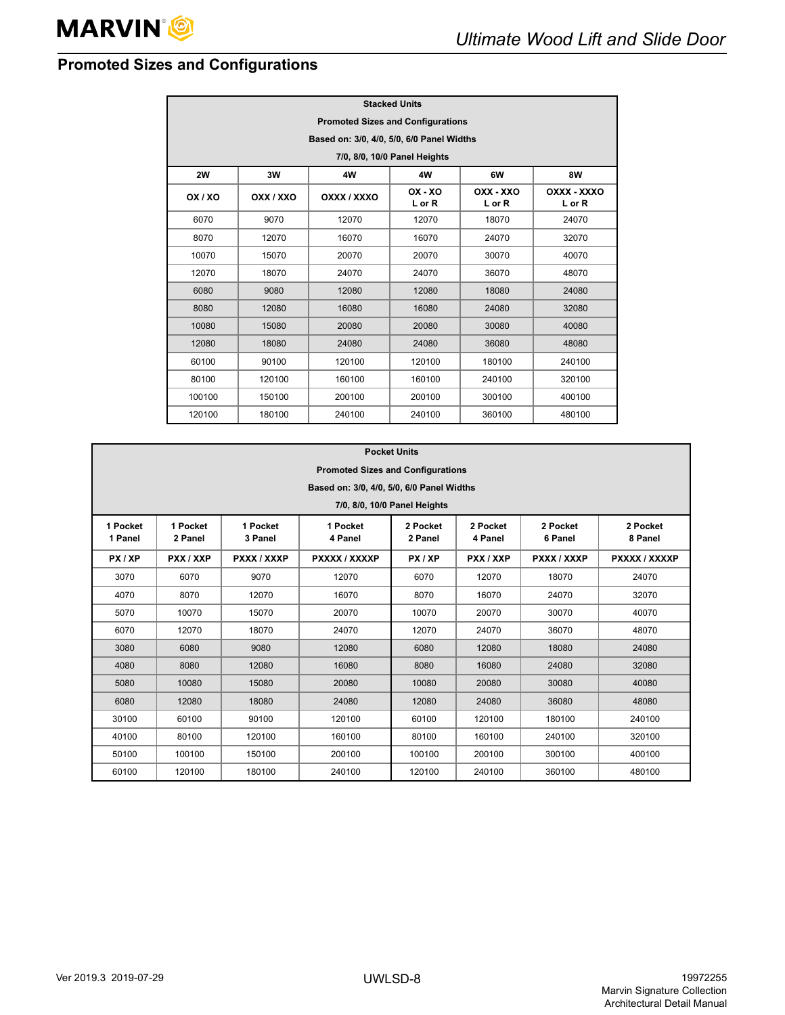## <span id="page-9-0"></span>**Promoted Sizes and Configurations**

| <b>Stacked Units</b>                     |                                           |             |                     |                     |                       |  |  |  |  |
|------------------------------------------|-------------------------------------------|-------------|---------------------|---------------------|-----------------------|--|--|--|--|
| <b>Promoted Sizes and Configurations</b> |                                           |             |                     |                     |                       |  |  |  |  |
|                                          | Based on: 3/0, 4/0, 5/0, 6/0 Panel Widths |             |                     |                     |                       |  |  |  |  |
|                                          | 7/0, 8/0, 10/0 Panel Heights              |             |                     |                     |                       |  |  |  |  |
| 2W                                       | 3W<br>4W<br>6W<br>8W<br>4W                |             |                     |                     |                       |  |  |  |  |
| OX / XO                                  | OXX / XXO                                 | OXXX / XXXO | $OX - XO$<br>L or R | OXX - XXO<br>L or R | OXXX - XXXO<br>L or R |  |  |  |  |
| 6070                                     | 9070                                      | 12070       | 12070               | 18070               | 24070                 |  |  |  |  |
| 8070                                     | 12070                                     | 16070       | 16070               | 24070               | 32070                 |  |  |  |  |
| 10070                                    | 15070                                     | 20070       | 20070               | 30070               | 40070                 |  |  |  |  |
| 12070                                    | 18070                                     | 24070       | 24070               | 36070               | 48070                 |  |  |  |  |
| 6080                                     | 9080                                      | 12080       | 12080               | 18080               | 24080                 |  |  |  |  |
| 8080                                     | 12080                                     | 16080       | 16080               | 24080               | 32080                 |  |  |  |  |
| 10080                                    | 15080                                     | 20080       | 20080               | 30080               | 40080                 |  |  |  |  |
| 12080                                    | 18080                                     | 24080       | 24080               | 36080               | 48080                 |  |  |  |  |
| 60100                                    | 90100                                     | 120100      | 120100              | 180100              | 240100                |  |  |  |  |
| 80100                                    | 120100                                    | 160100      | 160100              | 240100              | 320100                |  |  |  |  |
| 100100                                   | 150100                                    | 200100      | 200100              | 300100              | 400100                |  |  |  |  |
| 120100                                   | 180100                                    | 240100      | 240100              | 360100              | 480100                |  |  |  |  |

|                     | <b>Pocket Units</b>                       |                     |                     |                     |                     |                     |                     |  |  |
|---------------------|-------------------------------------------|---------------------|---------------------|---------------------|---------------------|---------------------|---------------------|--|--|
|                     | <b>Promoted Sizes and Configurations</b>  |                     |                     |                     |                     |                     |                     |  |  |
|                     | Based on: 3/0, 4/0, 5/0, 6/0 Panel Widths |                     |                     |                     |                     |                     |                     |  |  |
|                     | 7/0, 8/0, 10/0 Panel Heights              |                     |                     |                     |                     |                     |                     |  |  |
| 1 Pocket<br>1 Panel | 1 Pocket<br>2 Panel                       | 1 Pocket<br>3 Panel | 1 Pocket<br>4 Panel | 2 Pocket<br>2 Panel | 2 Pocket<br>4 Panel | 2 Pocket<br>6 Panel | 2 Pocket<br>8 Panel |  |  |
| PX/XP               | PXX / XXP                                 | PXXX / XXXP         | PXXXX / XXXXP       | PX/XP               | PXX / XXP           | PXXX / XXXP         | PXXXX / XXXXP       |  |  |
| 3070                | 6070                                      | 9070                | 12070               | 6070                | 12070               | 18070               | 24070               |  |  |
| 4070                | 8070                                      | 12070               | 16070               | 8070                | 16070               | 24070               | 32070               |  |  |
| 5070                | 10070                                     | 15070               | 20070               | 10070               | 20070               | 30070               | 40070               |  |  |
| 6070                | 12070                                     | 18070               | 24070               | 12070               | 24070               | 36070               | 48070               |  |  |
| 3080                | 6080                                      | 9080                | 12080               | 6080                | 12080               | 18080               | 24080               |  |  |
| 4080                | 8080                                      | 12080               | 16080               | 8080                | 16080               | 24080               | 32080               |  |  |
| 5080                | 10080                                     | 15080               | 20080               | 10080               | 20080               | 30080               | 40080               |  |  |
| 6080                | 12080                                     | 18080               | 24080               | 12080               | 24080               | 36080               | 48080               |  |  |
| 30100               | 60100                                     | 90100               | 120100              | 60100               | 120100              | 180100              | 240100              |  |  |
| 40100               | 80100                                     | 120100              | 160100              | 80100               | 160100              | 240100              | 320100              |  |  |
| 50100               | 100100                                    | 150100              | 200100              | 100100              | 200100              | 300100              | 400100              |  |  |
| 60100               | 120100                                    | 180100              | 240100              | 120100              | 240100              | 360100              | 480100              |  |  |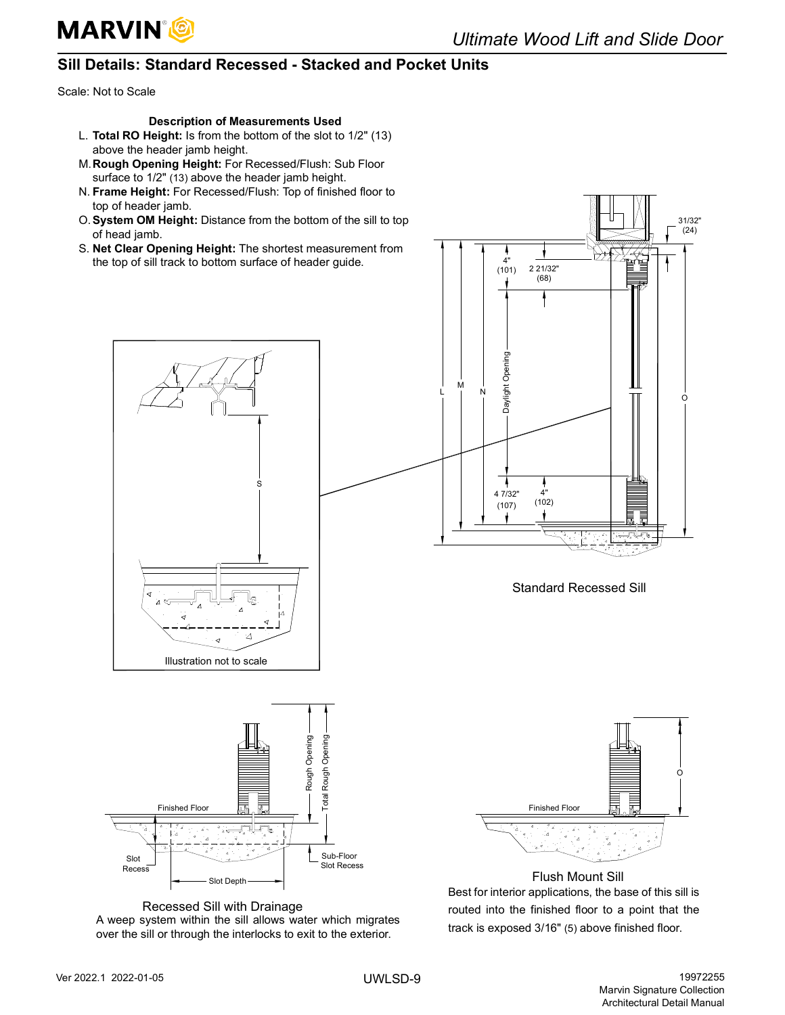### <span id="page-10-0"></span>**Sill Details: Standard Recessed - Stacked and Pocket Units**

Scale: Not to Scale

#### **Description of Measurements Used**

- L. **Total RO Height:** Is from the bottom of the slot to 1/2" (13) above the header jamb height.
- M.**Rough Opening Height:** For Recessed/Flush: Sub Floor surface to 1/2" (13) above the header jamb height.
- N. **Frame Height:** For Recessed/Flush: Top of finished floor to top of header jamb.
- O.**System OM Height:** Distance from the bottom of the sill to top of head jamb.
- S. **Net Clear Opening Height:** The shortest measurement from the top of sill track to bottom surface of header guide.



S



Standard Recessed Sill



Recessed Sill with Drainage A weep system within the sill allows water which migrates over the sill or through the interlocks to exit to the exterior.



Flush Mount Sill Best for interior applications, the base of this sill is routed into the finished floor to a point that the track is exposed 3/16" (5) above finished floor.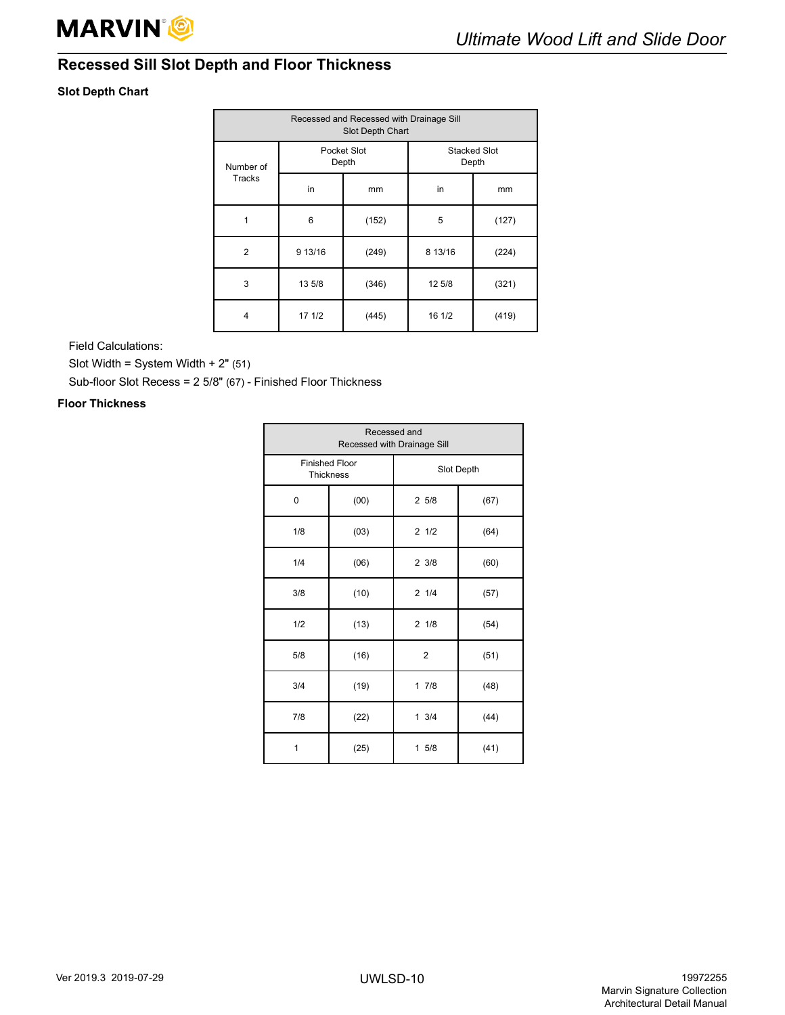

## <span id="page-11-0"></span>**Recessed Sill Slot Depth and Floor Thickness**

### **Slot Depth Chart**

| Recessed and Recessed with Drainage Sill<br>Slot Depth Chart |         |                      |                              |       |  |  |  |
|--------------------------------------------------------------|---------|----------------------|------------------------------|-------|--|--|--|
| Number of                                                    |         | Pocket Slot<br>Depth | <b>Stacked Slot</b><br>Depth |       |  |  |  |
| Tracks                                                       | in      | mm                   | in                           | mm    |  |  |  |
|                                                              | 6       | (152)                | 5                            | (127) |  |  |  |
| $\overline{2}$                                               | 9 13/16 | (249)                | 8 13/16                      | (224) |  |  |  |
| 3                                                            | 13 5/8  | (346)                | 12 5/8                       | (321) |  |  |  |
| 4                                                            | 17 1/2  | (445)                | 16 1/2                       | (419) |  |  |  |

Field Calculations:

Slot Width = System Width + 2" (51)

Sub-floor Slot Recess = 2 5/8" (67) - Finished Floor Thickness

### **Floor Thickness**

| Recessed and<br>Recessed with Drainage Sill |                                           |                 |      |  |  |  |  |
|---------------------------------------------|-------------------------------------------|-----------------|------|--|--|--|--|
|                                             | <b>Finished Floor</b><br><b>Thickness</b> | Slot Depth      |      |  |  |  |  |
| 0                                           | (00)                                      | 25/8            | (67) |  |  |  |  |
| 1/8                                         | (03)                                      | 21/2            | (64) |  |  |  |  |
| 1/4                                         | (06)                                      | 23/8            | (60) |  |  |  |  |
| 3/8                                         | (10)                                      | 21/4            | (57) |  |  |  |  |
| 1/2                                         | (13)                                      | $2 \frac{1}{8}$ | (54) |  |  |  |  |
| 5/8                                         | (16)                                      | $\overline{2}$  | (51) |  |  |  |  |
| 3/4                                         | (19)                                      | 17/8            | (48) |  |  |  |  |
| 7/8                                         | (22)                                      | $1 \frac{3}{4}$ | (44) |  |  |  |  |
| 1                                           | (25)                                      | 15/8            | (41) |  |  |  |  |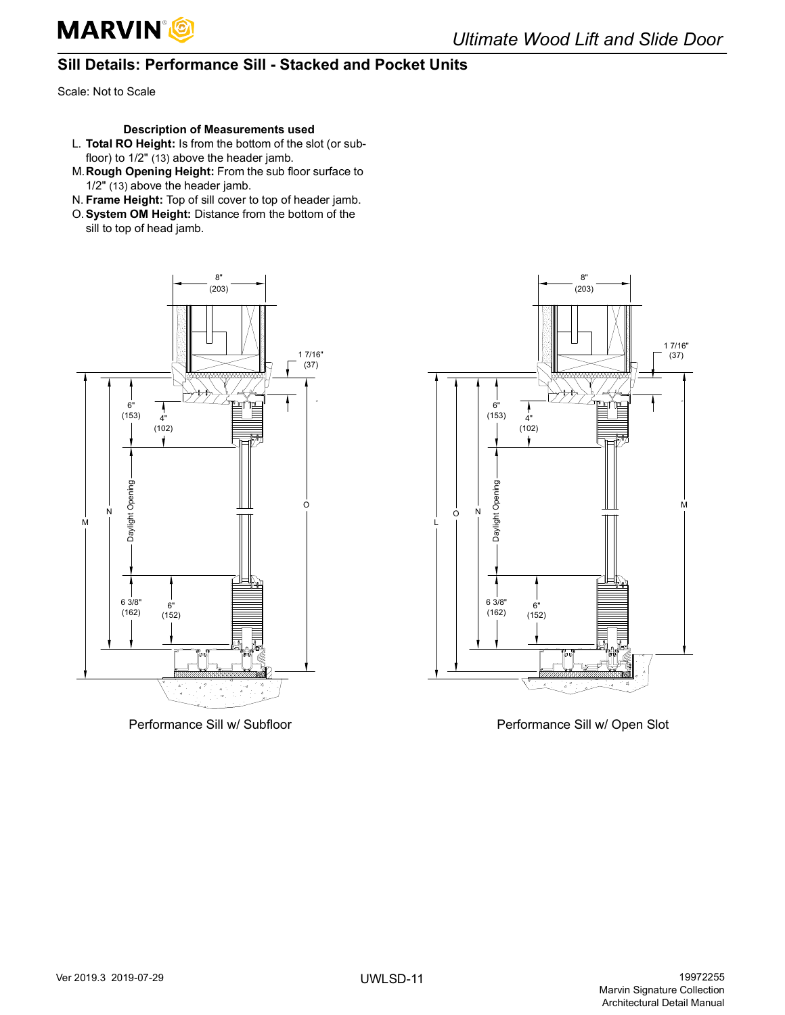

## <span id="page-12-0"></span>**Sill Details: Performance Sill - Stacked and Pocket Units**

Scale: Not to Scale

### **Description of Measurements used**

- L. **Total RO Height:** Is from the bottom of the slot (or subfloor) to 1/2" (13) above the header jamb.
- M.**Rough Opening Height:** From the sub floor surface to 1/2" (13) above the header jamb.
- N. **Frame Height:** Top of sill cover to top of header jamb.
- O.**System OM Height:** Distance from the bottom of the sill to top of head jamb.





Performance Sill w/ Subfloor example and performance Sill w/ Open Slot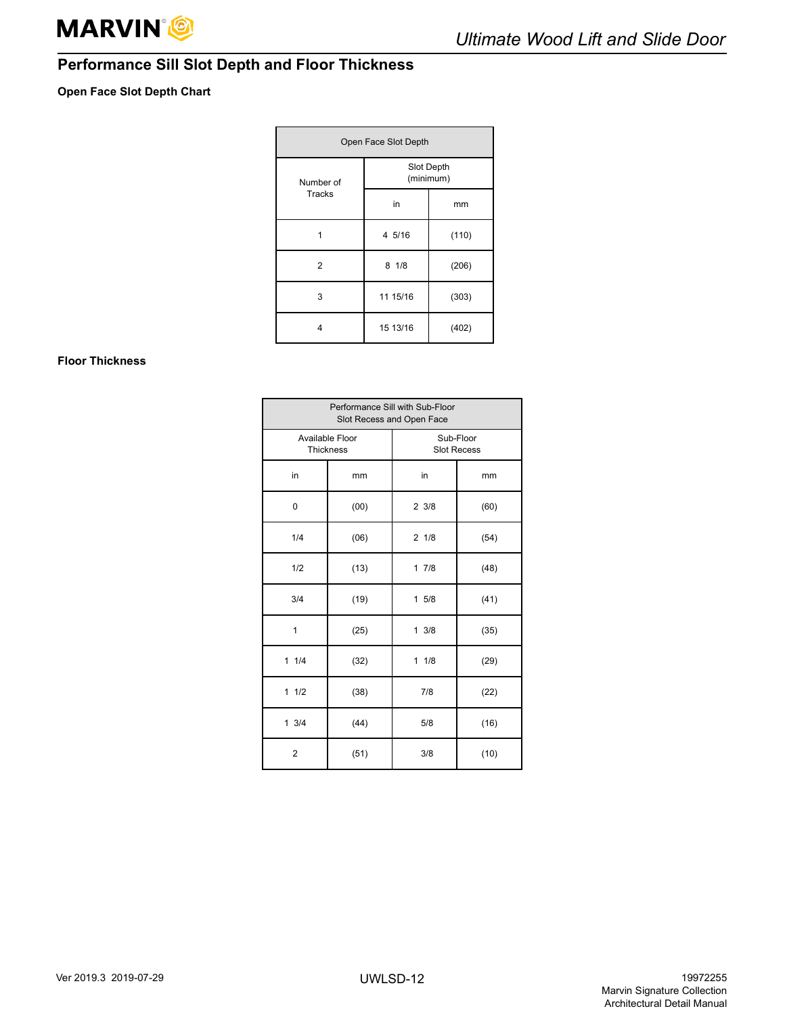## <span id="page-13-0"></span>**Performance Sill Slot Depth and Floor Thickness**

### **Open Face Slot Depth Chart**

| Open Face Slot Depth |            |           |  |  |  |
|----------------------|------------|-----------|--|--|--|
| Number of            | Slot Depth | (minimum) |  |  |  |
| <b>Tracks</b>        | in         | mm        |  |  |  |
|                      | 4 5/16     | (110)     |  |  |  |
| 2                    | 81/8       | (206)     |  |  |  |
| 3                    | 11 15/16   | (303)     |  |  |  |
| 4                    | 15 13/16   | (402)     |  |  |  |

### **Floor Thickness**

| Performance Sill with Sub-Floor<br>Slot Recess and Open Face |      |                                 |      |
|--------------------------------------------------------------|------|---------------------------------|------|
| Available Floor<br>Thickness                                 |      | Sub-Floor<br><b>Slot Recess</b> |      |
| in                                                           | mm   | in                              | mm   |
| 0                                                            | (00) | 23/8                            | (60) |
| 1/4                                                          | (06) | 21/8                            | (54) |
| 1/2                                                          | (13) | 17/8                            | (48) |
| 3/4                                                          | (19) | 15/8                            | (41) |
| 1                                                            | (25) | 13/8                            | (35) |
| 11/4                                                         | (32) | 11/8                            | (29) |
| 11/2                                                         | (38) | 7/8                             | (22) |
| 13/4                                                         | (44) | 5/8                             | (16) |
| $\overline{2}$                                               | (51) | 3/8                             | (10) |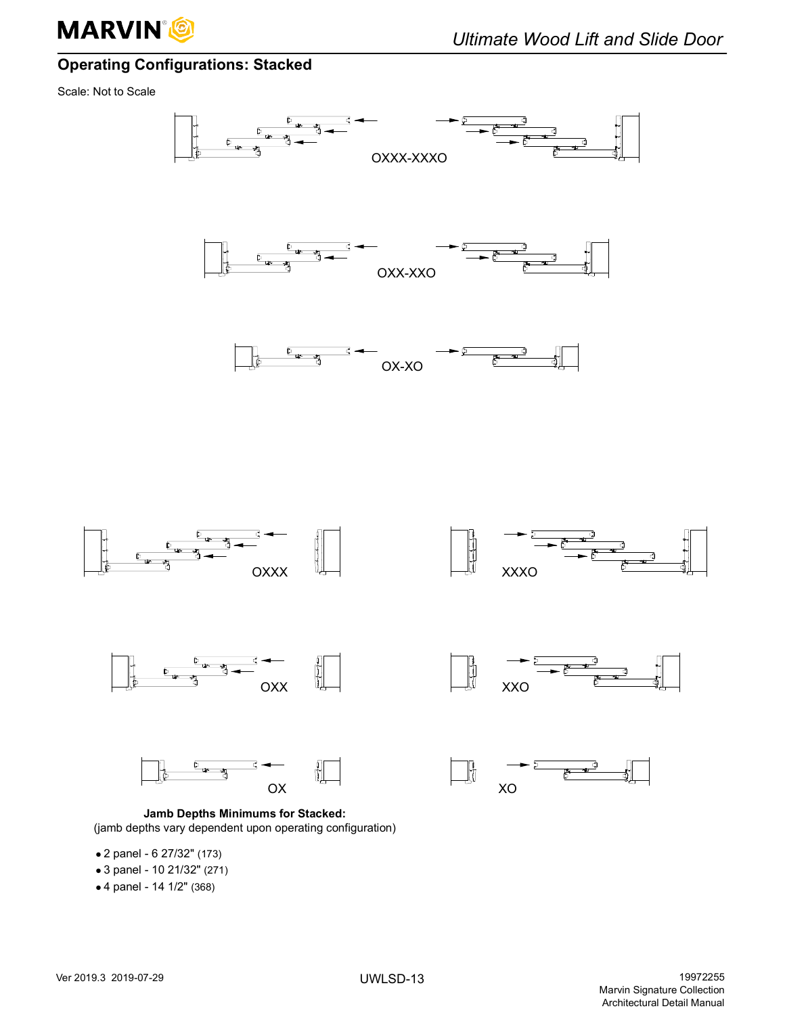

## <span id="page-14-0"></span>**Operating Configurations: Stacked**

Scale: Not to Scale





**Jamb Depths Minimums for Stacked:** (jamb depths vary dependent upon operating configuration)

- 2 panel 6 27/32" (173)
- 3 panel 10 21/32" (271)
- 4 panel 14 1/2" (368)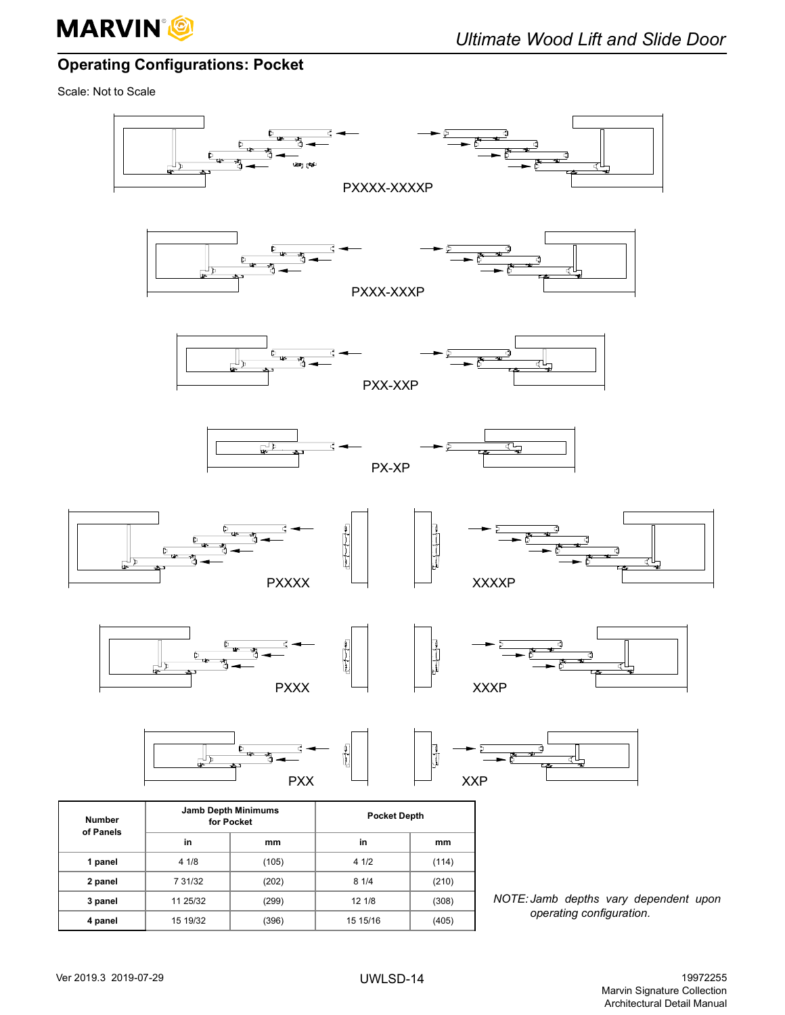

## <span id="page-15-0"></span>**Operating Configurations: Pocket**

Scale: Not to Scale

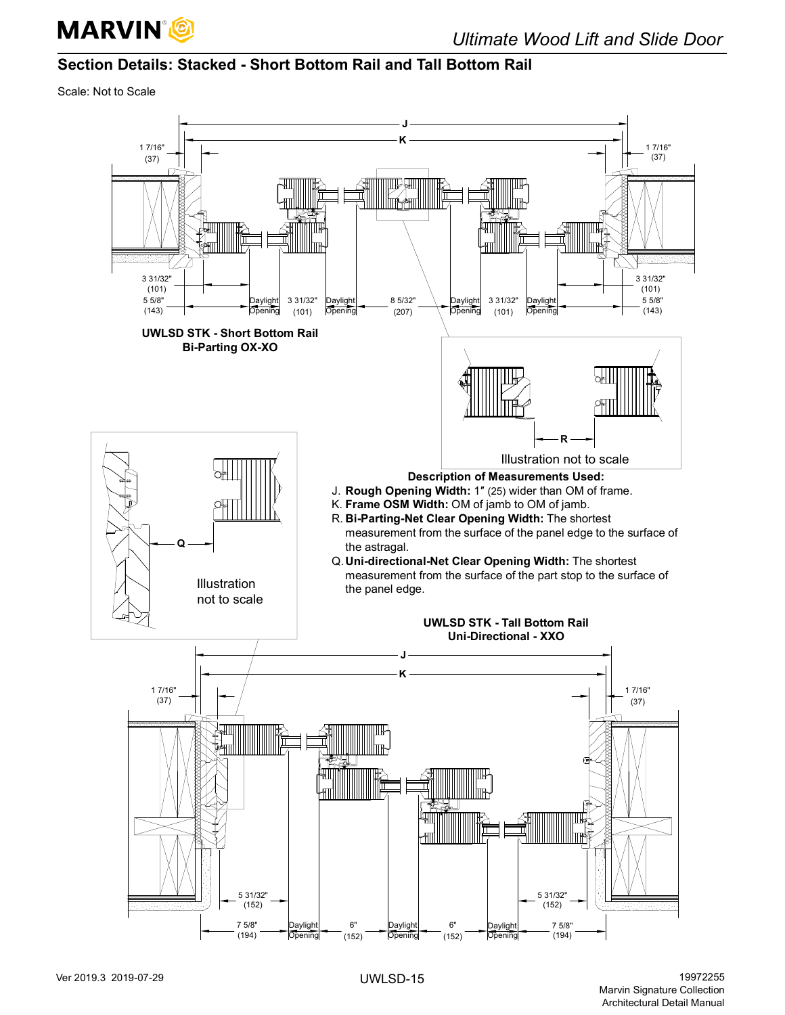

## <span id="page-16-0"></span>**Section Details: Stacked - Short Bottom Rail and Tall Bottom Rail**

Scale: Not to Scale

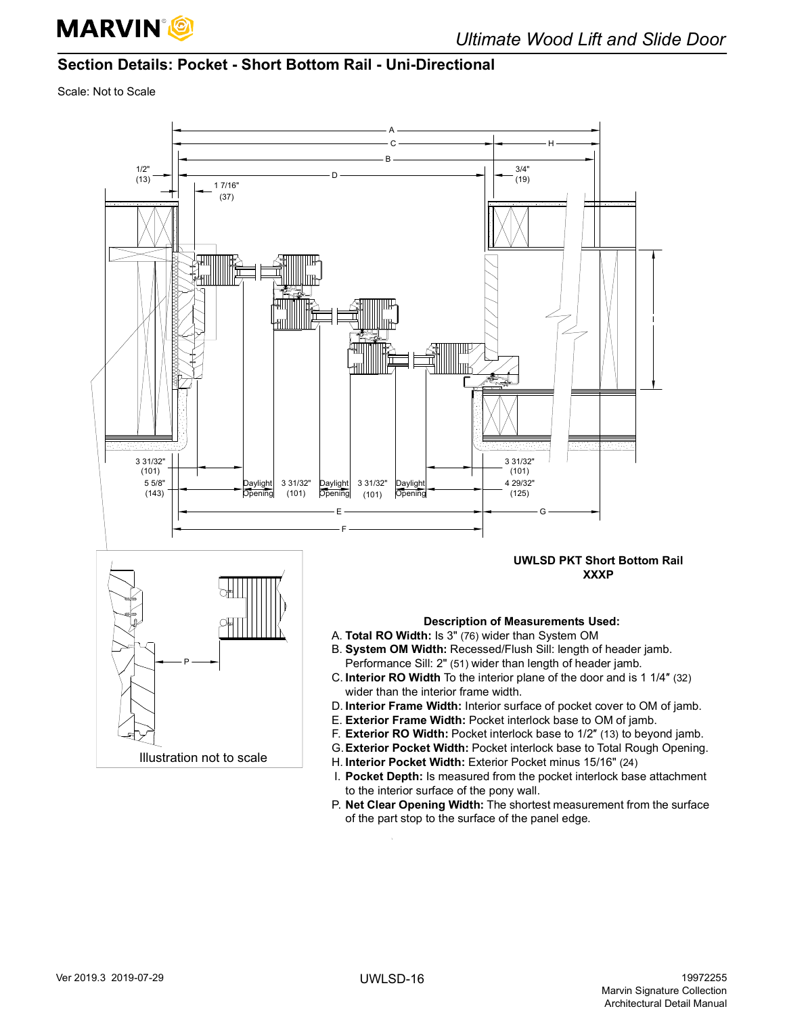

## <span id="page-17-0"></span>**Section Details: Pocket - Short Bottom Rail - Uni-Directional**

Scale: Not to Scale



P. **Net Clear Opening Width:** The shortest measurement from the surface of the part stop to the surface of the panel edge.